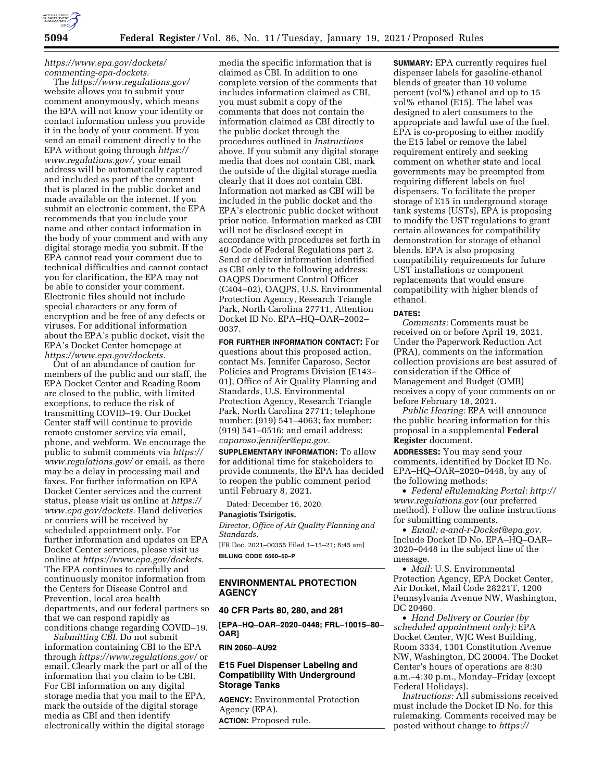

# *[https://www.epa.gov/dockets/](https://www.epa.gov/dockets/commenting-epa-dockets)  [commenting-epa-dockets.](https://www.epa.gov/dockets/commenting-epa-dockets)*

The *<https://www.regulations.gov/>*  website allows you to submit your comment anonymously, which means the EPA will not know your identity or contact information unless you provide it in the body of your comment. If you send an email comment directly to the EPA without going through *[https://](https://www.regulations.gov/) [www.regulations.gov/,](https://www.regulations.gov/)* your email address will be automatically captured and included as part of the comment that is placed in the public docket and made available on the internet. If you submit an electronic comment, the EPA recommends that you include your name and other contact information in the body of your comment and with any digital storage media you submit. If the EPA cannot read your comment due to technical difficulties and cannot contact you for clarification, the EPA may not be able to consider your comment. Electronic files should not include special characters or any form of encryption and be free of any defects or viruses. For additional information about the EPA's public docket, visit the EPA's Docket Center homepage at *[https://www.epa.gov/dockets.](https://www.epa.gov/dockets)* 

Out of an abundance of caution for members of the public and our staff, the EPA Docket Center and Reading Room are closed to the public, with limited exceptions, to reduce the risk of transmitting COVID–19. Our Docket Center staff will continue to provide remote customer service via email, phone, and webform. We encourage the public to submit comments via *[https://](https://www.regulations.gov/)  [www.regulations.gov/](https://www.regulations.gov/)* or email, as there may be a delay in processing mail and faxes. For further information on EPA Docket Center services and the current status, please visit us online at *[https://](https://www.epa.gov/dockets) [www.epa.gov/dockets.](https://www.epa.gov/dockets)* Hand deliveries or couriers will be received by scheduled appointment only. For further information and updates on EPA Docket Center services, please visit us online at *[https://www.epa.gov/dockets.](https://www.epa.gov/dockets)*  The EPA continues to carefully and continuously monitor information from the Centers for Disease Control and Prevention, local area health departments, and our federal partners so that we can respond rapidly as conditions change regarding COVID–19.

*Submitting CBI.* Do not submit information containing CBI to the EPA through *<https://www.regulations.gov/>*or email. Clearly mark the part or all of the information that you claim to be CBI. For CBI information on any digital storage media that you mail to the EPA, mark the outside of the digital storage media as CBI and then identify electronically within the digital storage

media the specific information that is claimed as CBI. In addition to one complete version of the comments that includes information claimed as CBI, you must submit a copy of the comments that does not contain the information claimed as CBI directly to the public docket through the procedures outlined in *Instructions*  above. If you submit any digital storage media that does not contain CBI, mark the outside of the digital storage media clearly that it does not contain CBI. Information not marked as CBI will be included in the public docket and the EPA's electronic public docket without prior notice. Information marked as CBI will not be disclosed except in accordance with procedures set forth in 40 Code of Federal Regulations part 2. Send or deliver information identified as CBI only to the following address: OAQPS Document Control Officer (C404–02), OAQPS, U.S. Environmental Protection Agency, Research Triangle Park, North Carolina 27711, Attention Docket ID No. EPA–HQ–OAR–2002– 0037.

**FOR FURTHER INFORMATION CONTACT:** For questions about this proposed action, contact Ms. Jennifer Caparoso, Sector Policies and Programs Division (E143– 01), Office of Air Quality Planning and Standards, U.S. Environmental Protection Agency, Research Triangle Park, North Carolina 27711; telephone number: (919) 541–4063; fax number: (919) 541–0516; and email address: *[caparoso.jennifer@epa.gov.](mailto:caparoso.jennifer@epa.gov)*

**SUPPLEMENTARY INFORMATION:** To allow for additional time for stakeholders to provide comments, the EPA has decided to reopen the public comment period until February 8, 2021.

Dated: December 16, 2020.

#### **Panagiotis Tsirigotis,**

*Director, Office of Air Quality Planning and Standards.* 

[FR Doc. 2021–00355 Filed 1–15–21; 8:45 am] **BILLING CODE 6560–50–P** 

# **ENVIRONMENTAL PROTECTION AGENCY**

### **40 CFR Parts 80, 280, and 281**

**[EPA–HQ–OAR–2020–0448; FRL–10015–80– OAR]** 

# **RIN 2060–AU92**

# **E15 Fuel Dispenser Labeling and Compatibility With Underground Storage Tanks**

**AGENCY:** Environmental Protection Agency (EPA). **ACTION:** Proposed rule.

**SUMMARY:** EPA currently requires fuel dispenser labels for gasoline-ethanol blends of greater than 10 volume percent (vol%) ethanol and up to 15 vol% ethanol (E15). The label was designed to alert consumers to the appropriate and lawful use of the fuel. EPA is co-proposing to either modify the E15 label or remove the label requirement entirely and seeking comment on whether state and local governments may be preempted from requiring different labels on fuel dispensers. To facilitate the proper storage of E15 in underground storage tank systems (USTs), EPA is proposing to modify the UST regulations to grant certain allowances for compatibility demonstration for storage of ethanol blends. EPA is also proposing compatibility requirements for future UST installations or component replacements that would ensure compatibility with higher blends of

# ethanol. **DATES:**

*Comments:* Comments must be received on or before April 19, 2021. Under the Paperwork Reduction Act (PRA), comments on the information collection provisions are best assured of consideration if the Office of Management and Budget (OMB) receives a copy of your comments on or before February 18, 2021.

*Public Hearing:* EPA will announce the public hearing information for this proposal in a supplemental **Federal Register** document.

**ADDRESSES:** You may send your comments, identified by Docket ID No. EPA–HQ–OAR–2020–0448, by any of the following methods:

• *Federal eRulemaking Portal: [http://](http://www.regulations.gov) [www.regulations.gov](http://www.regulations.gov)* (our preferred method). Follow the online instructions for submitting comments.

• *Email: [a-and-r-Docket@epa.gov.](mailto:a-and-r-Docket@epa.gov)* Include Docket ID No. EPA–HQ–OAR– 2020–0448 in the subject line of the message.

• *Mail:* U.S. Environmental Protection Agency, EPA Docket Center, Air Docket, Mail Code 28221T, 1200 Pennsylvania Avenue NW, Washington, DC 20460.

• *Hand Delivery or Courier (by scheduled appointment only):* EPA Docket Center, WJC West Building, Room 3334, 1301 Constitution Avenue NW, Washington, DC 20004. The Docket Center's hours of operations are 8:30 a.m.–4:30 p.m., Monday–Friday (except Federal Holidays).

*Instructions:* All submissions received must include the Docket ID No. for this rulemaking. Comments received may be posted without change to *[https://](https://www.regulations.gov)*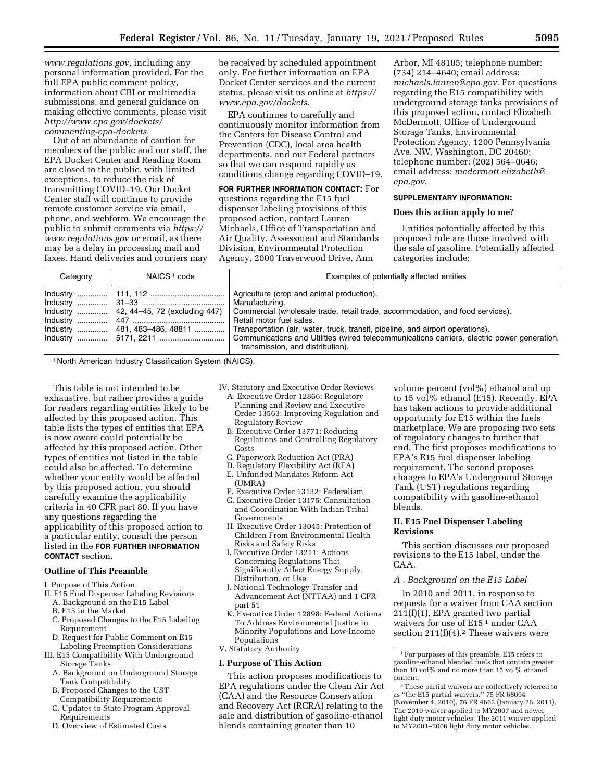*[www.regulations.gov,](http://www.regulations.gov)* including any personal information provided. For the full EPA public comment policy, information about CBI or multimedia submissions, and general guidance on making effective comments, please visit *[http://www.epa.gov/dockets/](http://www.epa.gov/dockets/commenting-epa-dockets)  [commenting-epa-dockets.](http://www.epa.gov/dockets/commenting-epa-dockets)* 

Out of an abundance of caution for members of the public and our staff, the EPA Docket Center and Reading Room are closed to the public, with limited exceptions, to reduce the risk of transmitting COVID–19. Our Docket Center staff will continue to provide remote customer service via email, phone, and webform. We encourage the public to submit comments via *[https://](https://www.regulations.gov)  [www.regulations.gov](https://www.regulations.gov)* or email, as there may be a delay in processing mail and faxes. Hand deliveries and couriers may be received by scheduled appointment only. For further information on EPA Docket Center services and the current status, please visit us online at *[https://](https://www.epa.gov/dockets) [www.epa.gov/dockets.](https://www.epa.gov/dockets)* 

EPA continues to carefully and continuously monitor information from the Centers for Disease Control and Prevention (CDC), local area health departments, and our Federal partners so that we can respond rapidly as conditions change regarding COVID–19.

**FOR FURTHER INFORMATION CONTACT:** For questions regarding the E15 fuel dispenser labeling provisions of this proposed action, contact Lauren Michaels, Office of Transportation and Air Quality, Assessment and Standards Division, Environmental Protection Agency, 2000 Traverwood Drive, Ann

Arbor, MI 48105; telephone number: (734) 214–4640; email address: *[michaels.lauren@epa.gov.](mailto:michaels.lauren@epa.gov)* For questions regarding the E15 compatibility with underground storage tanks provisions of this proposed action, contact Elizabeth McDermott, Office of Underground Storage Tanks, Environmental Protection Agency, 1200 Pennsylvania Ave. NW, Washington, DC 20460; telephone number: (202) 564–0646; email address: *[mcdermott.elizabeth@](mailto:mcdermott.elizabeth@epa.gov) [epa.gov.](mailto:mcdermott.elizabeth@epa.gov)* 

#### **SUPPLEMENTARY INFORMATION:**

#### **Does this action apply to me?**

Entities potentially affected by this proposed rule are those involved with the sale of gasoline. Potentially affected categories include:

| Category | NAICS <sup>1</sup> code | Examples of potentially affected entities                                                                                                                                                                                                                                                        |
|----------|-------------------------|--------------------------------------------------------------------------------------------------------------------------------------------------------------------------------------------------------------------------------------------------------------------------------------------------|
|          |                         | Agriculture (crop and animal production).<br>  Manufacturing.<br>Commercial (wholesale trade, retail trade, accommodation, and food services).<br>Retail motor fuel sales.<br>Transportation (air, water, truck, transit, pipeline, and airport operations).<br>transmission, and distribution). |

1 North American Industry Classification System (NAICS).

This table is not intended to be exhaustive, but rather provides a guide for readers regarding entities likely to be affected by this proposed action. This table lists the types of entities that EPA is now aware could potentially be affected by this proposed action. Other types of entities not listed in the table could also be affected. To determine whether your entity would be affected by this proposed action, you should carefully examine the applicability criteria in 40 CFR part 80. If you have any questions regarding the applicability of this proposed action to a particular entity, consult the person listed in the **FOR FURTHER INFORMATION CONTACT** section.

# **Outline of This Preamble**

- I. Purpose of This Action
- II. E15 Fuel Dispenser Labeling Revisions
	- A. Background on the E15 Label
	- B. E15 in the Market
	- C. Proposed Changes to the E15 Labeling Requirement
	- D. Request for Public Comment on E15 Labeling Preemption Considerations
- III. E15 Compatibility With Underground Storage Tanks
	- A. Background on Underground Storage Tank Compatibility
	- B. Proposed Changes to the UST Compatibility Requirements
	- C. Updates to State Program Approval Requirements
	- D. Overview of Estimated Costs
- IV. Statutory and Executive Order Reviews
	- A. Executive Order 12866: Regulatory Planning and Review and Executive Order 13563: Improving Regulation and Regulatory Review
	- B. Executive Order 13771: Reducing Regulations and Controlling Regulatory Costs
	- C. Paperwork Reduction Act (PRA)
	- D. Regulatory Flexibility Act (RFA)
	- E. Unfunded Mandates Reform Act (UMRA)
	- F. Executive Order 13132: Federalism
	- G. Executive Order 13175: Consultation and Coordination With Indian Tribal Governments
	- H. Executive Order 13045: Protection of Children From Environmental Health Risks and Safety Risks
	- I. Executive Order 13211: Actions Concerning Regulations That Significantly Affect Energy Supply, Distribution, or Use
	- J. National Technology Transfer and Advancement Act (NTTAA) and 1 CFR part 51
- K. Executive Order 12898: Federal Actions To Address Environmental Justice in Minority Populations and Low-Income Populations
- V. Statutory Authority

#### **I. Purpose of This Action**

This action proposes modifications to EPA regulations under the Clean Air Act (CAA) and the Resource Conservation and Recovery Act (RCRA) relating to the sale and distribution of gasoline-ethanol blends containing greater than 10

volume percent (vol%) ethanol and up to 15 vol% ethanol (E15). Recently, EPA has taken actions to provide additional opportunity for E15 within the fuels marketplace. We are proposing two sets of regulatory changes to further that end. The first proposes modifications to EPA's E15 fuel dispenser labeling requirement. The second proposes changes to EPA's Underground Storage Tank (UST) regulations regarding compatibility with gasoline-ethanol blends.

# **II. E15 Fuel Dispenser Labeling Revisions**

This section discusses our proposed revisions to the E15 label, under the CAA.

### *A . Background on the E15 Label*

In 2010 and 2011, in response to requests for a waiver from CAA section 211(f)(1), EPA granted two partial waivers for use of E15 1 under CAA section  $211(f)(4)$ .<sup>2</sup> These waivers were

<sup>1</sup>For purposes of this preamble, E15 refers to gasoline-ethanol blended fuels that contain greater than 10 vol% and no more than 15 vol% ethanol content.

<sup>2</sup>These partial waivers are collectively referred to as ''the E15 partial waivers.'' 75 FR 68094 (November 4, 2010), 76 FR 4662 (January 26, 2011). The 2010 waiver applied to MY2007 and newer light duty motor vehicles. The 2011 waiver applied to MY2001–2006 light duty motor vehicles.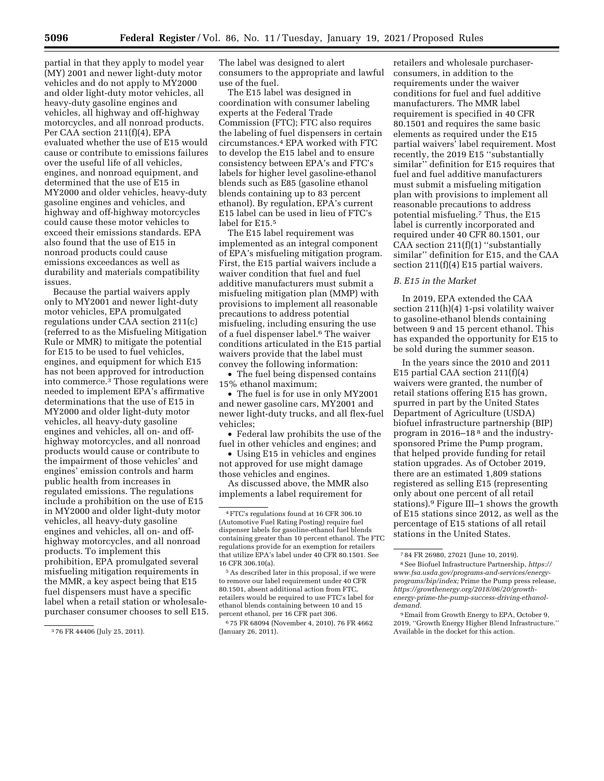partial in that they apply to model year (MY) 2001 and newer light-duty motor vehicles and do not apply to MY2000 and older light-duty motor vehicles, all heavy-duty gasoline engines and vehicles, all highway and off-highway motorcycles, and all nonroad products. Per CAA section 211(f)(4), EPA evaluated whether the use of E15 would cause or contribute to emissions failures over the useful life of all vehicles, engines, and nonroad equipment, and determined that the use of E15 in MY2000 and older vehicles, heavy-duty gasoline engines and vehicles, and highway and off-highway motorcycles could cause these motor vehicles to exceed their emissions standards. EPA also found that the use of E15 in nonroad products could cause emissions exceedances as well as durability and materials compatibility issues.

Because the partial waivers apply only to MY2001 and newer light-duty motor vehicles, EPA promulgated regulations under CAA section 211(c) (referred to as the Misfueling Mitigation Rule or MMR) to mitigate the potential for E15 to be used to fuel vehicles, engines, and equipment for which E15 has not been approved for introduction into commerce.3 Those regulations were needed to implement EPA's affirmative determinations that the use of E15 in MY2000 and older light-duty motor vehicles, all heavy-duty gasoline engines and vehicles, all on- and offhighway motorcycles, and all nonroad products would cause or contribute to the impairment of those vehicles' and engines' emission controls and harm public health from increases in regulated emissions. The regulations include a prohibition on the use of E15 in MY2000 and older light-duty motor vehicles, all heavy-duty gasoline engines and vehicles, all on- and offhighway motorcycles, and all nonroad products. To implement this prohibition, EPA promulgated several misfueling mitigation requirements in the MMR, a key aspect being that E15 fuel dispensers must have a specific label when a retail station or wholesalepurchaser consumer chooses to sell E15. The label was designed to alert consumers to the appropriate and lawful use of the fuel.

The E15 label was designed in coordination with consumer labeling experts at the Federal Trade Commission (FTC); FTC also requires the labeling of fuel dispensers in certain circumstances.4 EPA worked with FTC to develop the E15 label and to ensure consistency between EPA's and FTC's labels for higher level gasoline-ethanol blends such as E85 (gasoline ethanol blends containing up to 83 percent ethanol). By regulation, EPA's current E15 label can be used in lieu of FTC's label for E15.5

The E15 label requirement was implemented as an integral component of EPA's misfueling mitigation program. First, the E15 partial waivers include a waiver condition that fuel and fuel additive manufacturers must submit a misfueling mitigation plan (MMP) with provisions to implement all reasonable precautions to address potential misfueling, including ensuring the use of a fuel dispenser label.6 The waiver conditions articulated in the E15 partial waivers provide that the label must convey the following information:

• The fuel being dispensed contains 15% ethanol maximum;

• The fuel is for use in only MY2001 and newer gasoline cars, MY2001 and newer light-duty trucks, and all flex-fuel vehicles;

• Federal law prohibits the use of the fuel in other vehicles and engines; and

• Using E15 in vehicles and engines not approved for use might damage those vehicles and engines.

As discussed above, the MMR also implements a label requirement for

5As described later in this proposal, if we were to remove our label requirement under 40 CFR 80.1501, absent additional action from FTC, retailers would be required to use FTC's label for ethanol blends containing between 10 and 15 percent ethanol, per 16 CFR part 306.

6 75 FR 68094 (November 4, 2010), 76 FR 4662 (January 26, 2011).

retailers and wholesale purchaserconsumers, in addition to the requirements under the waiver conditions for fuel and fuel additive manufacturers. The MMR label requirement is specified in 40 CFR 80.1501 and requires the same basic elements as required under the E15 partial waivers' label requirement. Most recently, the 2019 E15 ''substantially similar'' definition for E15 requires that fuel and fuel additive manufacturers must submit a misfueling mitigation plan with provisions to implement all reasonable precautions to address potential misfueling.7 Thus, the E15 label is currently incorporated and required under 40 CFR 80.1501, our CAA section  $211(f)(1)$  "substantially similar'' definition for E15, and the CAA section 211(f)(4) E15 partial waivers.

## *B. E15 in the Market*

In 2019, EPA extended the CAA section 211(h)(4) 1-psi volatility waiver to gasoline-ethanol blends containing between 9 and 15 percent ethanol. This has expanded the opportunity for E15 to be sold during the summer season.

In the years since the 2010 and 2011 E15 partial CAA section 211(f)(4) waivers were granted, the number of retail stations offering E15 has grown, spurred in part by the United States Department of Agriculture (USDA) biofuel infrastructure partnership (BIP) program in 2016–18 8 and the industrysponsored Prime the Pump program, that helped provide funding for retail station upgrades. As of October 2019, there are an estimated 1,809 stations registered as selling E15 (representing only about one percent of all retail stations).9 Figure III–1 shows the growth of E15 stations since 2012, as well as the percentage of E15 stations of all retail stations in the United States.

<sup>3</sup> 76 FR 44406 (July 25, 2011).

<sup>4</sup>FTC's regulations found at 16 CFR 306.10 (Automotive Fuel Rating Posting) require fuel dispenser labels for gasoline-ethanol fuel blends containing greater than 10 percent ethanol. The FTC regulations provide for an exemption for retailers that utilize EPA's label under 40 CFR 80.1501. See 16 CFR 306.10(a).

<sup>7</sup> 84 FR 26980, 27021 (June 10, 2019).

<sup>8</sup>See Biofuel Infrastructure Partnership, *[https://](https://www.fsa.usda.gov/programs-and-services/energy-programs/bip/index) [www.fsa.usda.gov/programs-and-services/energy](https://www.fsa.usda.gov/programs-and-services/energy-programs/bip/index)[programs/bip/index;](https://www.fsa.usda.gov/programs-and-services/energy-programs/bip/index)* Prime the Pump press release, *https://growthenergy.org/2018/06/20/growthenergy-prime-the-pump-success-driving-ethanoldemand.* 

<sup>9</sup>Email from Growth Energy to EPA, October 9, 2019, ''Growth Energy Higher Blend Infrastructure.'' Available in the docket for this action.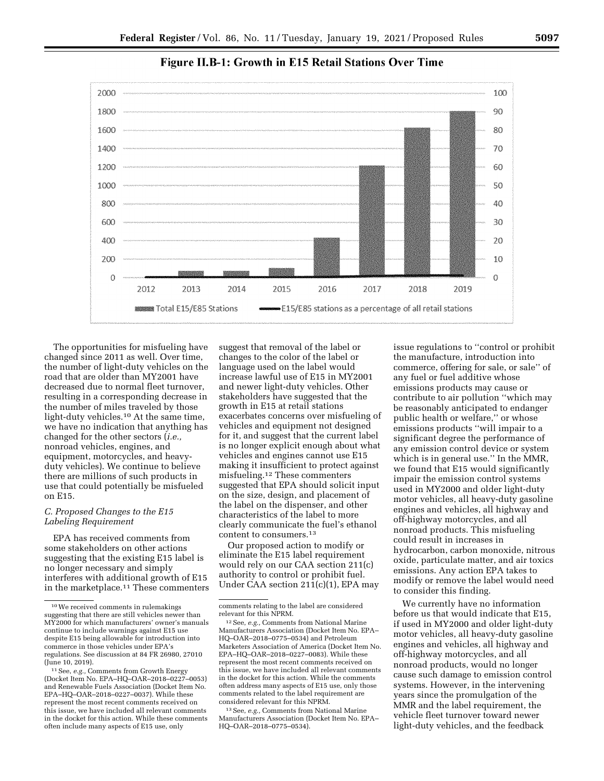

# Figure II.B-1: Growth in E15 Retail Stations Over Time

The opportunities for misfueling have changed since 2011 as well. Over time, the number of light-duty vehicles on the road that are older than MY2001 have decreased due to normal fleet turnover, resulting in a corresponding decrease in the number of miles traveled by those light-duty vehicles.10 At the same time, we have no indication that anything has changed for the other sectors (*i.e.,*  nonroad vehicles, engines, and equipment, motorcycles, and heavyduty vehicles). We continue to believe there are millions of such products in use that could potentially be misfueled on E15.

### *C. Proposed Changes to the E15 Labeling Requirement*

EPA has received comments from some stakeholders on other actions suggesting that the existing E15 label is no longer necessary and simply interferes with additional growth of E15 in the marketplace.11 These commenters

suggest that removal of the label or changes to the color of the label or language used on the label would increase lawful use of E15 in MY2001 and newer light-duty vehicles. Other stakeholders have suggested that the growth in E15 at retail stations exacerbates concerns over misfueling of vehicles and equipment not designed for it, and suggest that the current label is no longer explicit enough about what vehicles and engines cannot use E15 making it insufficient to protect against misfueling.12 These commenters suggested that EPA should solicit input on the size, design, and placement of the label on the dispenser, and other characteristics of the label to more clearly communicate the fuel's ethanol content to consumers.13

Our proposed action to modify or eliminate the E15 label requirement would rely on our CAA section 211(c) authority to control or prohibit fuel. Under CAA section 211(c)(1), EPA may

13See, *e.g.,* Comments from National Marine Manufacturers Association (Docket Item No. EPA– HQ–OAR–2018–0775–0534).

issue regulations to ''control or prohibit the manufacture, introduction into commerce, offering for sale, or sale'' of any fuel or fuel additive whose emissions products may cause or contribute to air pollution ''which may be reasonably anticipated to endanger public health or welfare,'' or whose emissions products ''will impair to a significant degree the performance of any emission control device or system which is in general use.'' In the MMR, we found that E15 would significantly impair the emission control systems used in MY2000 and older light-duty motor vehicles, all heavy-duty gasoline engines and vehicles, all highway and off-highway motorcycles, and all nonroad products. This misfueling could result in increases in hydrocarbon, carbon monoxide, nitrous oxide, particulate matter, and air toxics emissions. Any action EPA takes to modify or remove the label would need to consider this finding.

We currently have no information before us that would indicate that E15, if used in MY2000 and older light-duty motor vehicles, all heavy-duty gasoline engines and vehicles, all highway and off-highway motorcycles, and all nonroad products, would no longer cause such damage to emission control systems. However, in the intervening years since the promulgation of the MMR and the label requirement, the vehicle fleet turnover toward newer light-duty vehicles, and the feedback

<sup>10</sup>We received comments in rulemakings suggesting that there are still vehicles newer than MY2000 for which manufacturers' owner's manuals continue to include warnings against E15 use despite E15 being allowable for introduction into commerce in those vehicles under EPA's regulations. See discussion at 84 FR 26980, 27010 (June 10, 2019).

<sup>11</sup>See, *e.g.,* Comments from Growth Energy (Docket Item No. EPA–HQ–OAR–2018–0227–0053) and Renewable Fuels Association (Docket Item No. EPA–HQ–OAR–2018–0227–0037). While these represent the most recent comments received on this issue, we have included all relevant comments in the docket for this action. While these comments often include many aspects of E15 use, only

comments relating to the label are considered relevant for this NPRM.

<sup>12</sup>See, *e.g.,* Comments from National Marine Manufacturers Association (Docket Item No. EPA– HQ–OAR–2018–0775–0534) and Petroleum Marketers Association of America (Docket Item No. EPA–HQ–OAR–2018–0227–0083). While these represent the most recent comments received on this issue, we have included all relevant comments in the docket for this action. While the comments often address many aspects of E15 use, only those comments related to the label requirement are considered relevant for this NPRM.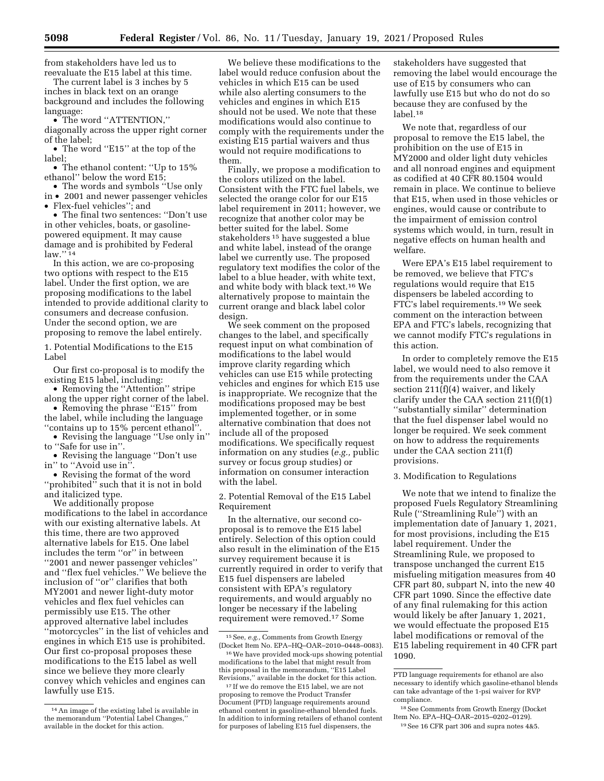from stakeholders have led us to reevaluate the E15 label at this time.

The current label is 3 inches by 5 inches in black text on an orange background and includes the following language:

• The word ''ATTENTION,'' diagonally across the upper right corner of the label;

• The word "E15" at the top of the label;

• The ethanol content: ''Up to 15% ethanol'' below the word E15;

• The words and symbols ''Use only in • 2001 and newer passenger vehicles • Flex-fuel vehicles''; and

• The final two sentences: ''Don't use in other vehicles, boats, or gasolinepowered equipment. It may cause damage and is prohibited by Federal law.'' 14

In this action, we are co-proposing two options with respect to the E15 label. Under the first option, we are proposing modifications to the label intended to provide additional clarity to consumers and decrease confusion. Under the second option, we are proposing to remove the label entirely.

1. Potential Modifications to the E15 Label

Our first co-proposal is to modify the existing E15 label, including:

• Removing the ''Attention'' stripe along the upper right corner of the label.

• Removing the phrase "E15" from the label, while including the language

''contains up to 15% percent ethanol''. • Revising the language ''Use only in''

to ''Safe for use in''.

• Revising the language ''Don't use in'' to ''Avoid use in''.

• Revising the format of the word ''prohibited'' such that it is not in bold and italicized type.

We additionally propose modifications to the label in accordance with our existing alternative labels. At this time, there are two approved alternative labels for E15. One label includes the term ''or'' in between ''2001 and newer passenger vehicles'' and ''flex fuel vehicles.'' We believe the inclusion of ''or'' clarifies that both MY2001 and newer light-duty motor vehicles and flex fuel vehicles can permissibly use E15. The other approved alternative label includes ''motorcycles'' in the list of vehicles and engines in which E15 use is prohibited. Our first co-proposal proposes these modifications to the E15 label as well since we believe they more clearly convey which vehicles and engines can lawfully use E15.

We believe these modifications to the label would reduce confusion about the vehicles in which E15 can be used while also alerting consumers to the vehicles and engines in which E15 should not be used. We note that these modifications would also continue to comply with the requirements under the existing E15 partial waivers and thus would not require modifications to them.

Finally, we propose a modification to the colors utilized on the label. Consistent with the FTC fuel labels, we selected the orange color for our E15 label requirement in 2011; however, we recognize that another color may be better suited for the label. Some stakeholders 15 have suggested a blue and white label, instead of the orange label we currently use. The proposed regulatory text modifies the color of the label to a blue header, with white text, and white body with black text.16 We alternatively propose to maintain the current orange and black label color design.

We seek comment on the proposed changes to the label, and specifically request input on what combination of modifications to the label would improve clarity regarding which vehicles can use E15 while protecting vehicles and engines for which E15 use is inappropriate. We recognize that the modifications proposed may be best implemented together, or in some alternative combination that does not include all of the proposed modifications. We specifically request information on any studies (*e.g.,* public survey or focus group studies) or information on consumer interaction with the label.

2. Potential Removal of the E15 Label Requirement

In the alternative, our second coproposal is to remove the E15 label entirely. Selection of this option could also result in the elimination of the E15 survey requirement because it is currently required in order to verify that E15 fuel dispensers are labeled consistent with EPA's regulatory requirements, and would arguably no longer be necessary if the labeling requirement were removed.17 Some

stakeholders have suggested that removing the label would encourage the use of E15 by consumers who can lawfully use E15 but who do not do so because they are confused by the label.18

We note that, regardless of our proposal to remove the E15 label, the prohibition on the use of E15 in MY2000 and older light duty vehicles and all nonroad engines and equipment as codified at 40 CFR 80.1504 would remain in place. We continue to believe that E15, when used in those vehicles or engines, would cause or contribute to the impairment of emission control systems which would, in turn, result in negative effects on human health and welfare.

Were EPA's E15 label requirement to be removed, we believe that FTC's regulations would require that E15 dispensers be labeled according to FTC's label requirements.19 We seek comment on the interaction between EPA and FTC's labels, recognizing that we cannot modify FTC's regulations in this action.

In order to completely remove the E15 label, we would need to also remove it from the requirements under the CAA section 211(f)(4) waiver, and likely clarify under the CAA section 211(f)(1) ''substantially similar'' determination that the fuel dispenser label would no longer be required. We seek comment on how to address the requirements under the CAA section 211(f) provisions.

# 3. Modification to Regulations

We note that we intend to finalize the proposed Fuels Regulatory Streamlining Rule (''Streamlining Rule'') with an implementation date of January 1, 2021, for most provisions, including the E15 label requirement. Under the Streamlining Rule, we proposed to transpose unchanged the current E15 misfueling mitigation measures from 40 CFR part 80, subpart N, into the new 40 CFR part 1090. Since the effective date of any final rulemaking for this action would likely be after January 1, 2021, we would effectuate the proposed E15 label modifications or removal of the E15 labeling requirement in 40 CFR part 1090.

<sup>14</sup>An image of the existing label is available in the memorandum ''Potential Label Changes,'' available in the docket for this action.

<sup>15</sup>See, *e.g.,* Comments from Growth Energy (Docket Item No. EPA–HQ–OAR–2010–0448–0083).

<sup>16</sup>We have provided mock-ups showing potential modifications to the label that might result from this proposal in the memorandum, ''E15 Label Revisions,'' available in the docket for this action.

<sup>&</sup>lt;sup>17</sup> If we do remove the E15 label, we are not proposing to remove the Product Transfer Document (PTD) language requirements around ethanol content in gasoline-ethanol blended fuels. In addition to informing retailers of ethanol content for purposes of labeling E15 fuel dispensers, the

PTD language requirements for ethanol are also necessary to identify which gasoline-ethanol blends can take advantage of the 1-psi waiver for RVP compliance.

<sup>18</sup>See Comments from Growth Energy (Docket Item No. EPA–HQ–OAR–2015–0202–0129). 19See 16 CFR part 306 and supra notes 4&5.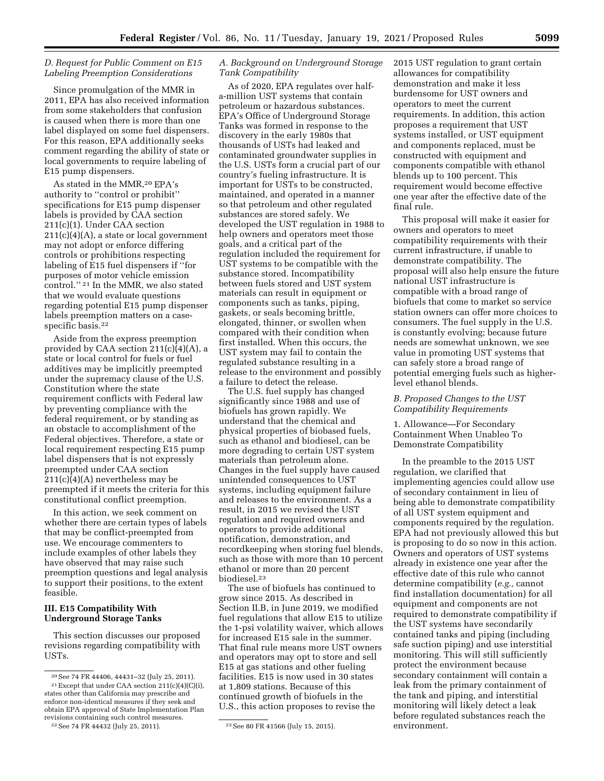# *D. Request for Public Comment on E15 Labeling Preemption Considerations*

Since promulgation of the MMR in 2011, EPA has also received information from some stakeholders that confusion is caused when there is more than one label displayed on some fuel dispensers. For this reason, EPA additionally seeks comment regarding the ability of state or local governments to require labeling of E15 pump dispensers.

As stated in the MMR,20 EPA's authority to ''control or prohibit'' specifications for E15 pump dispenser labels is provided by CAA section 211(c)(1). Under CAA section 211(c)(4)(A), a state or local government may not adopt or enforce differing controls or prohibitions respecting labeling of E15 fuel dispensers if ''for purposes of motor vehicle emission control.'' 21 In the MMR, we also stated that we would evaluate questions regarding potential E15 pump dispenser labels preemption matters on a casespecific basis.<sup>22</sup>

Aside from the express preemption provided by CAA section 211(c)(4)(A), a state or local control for fuels or fuel additives may be implicitly preempted under the supremacy clause of the U.S. Constitution where the state requirement conflicts with Federal law by preventing compliance with the federal requirement, or by standing as an obstacle to accomplishment of the Federal objectives. Therefore, a state or local requirement respecting E15 pump label dispensers that is not expressly preempted under CAA section  $211(c)(4)(A)$  nevertheless may be preempted if it meets the criteria for this constitutional conflict preemption.

In this action, we seek comment on whether there are certain types of labels that may be conflict-preempted from use. We encourage commenters to include examples of other labels they have observed that may raise such preemption questions and legal analysis to support their positions, to the extent feasible.

# **III. E15 Compatibility With Underground Storage Tanks**

This section discusses our proposed revisions regarding compatibility with USTs.

# *A. Background on Underground Storage Tank Compatibility*

As of 2020, EPA regulates over halfa-million UST systems that contain petroleum or hazardous substances. EPA's Office of Underground Storage Tanks was formed in response to the discovery in the early 1980s that thousands of USTs had leaked and contaminated groundwater supplies in the U.S. USTs form a crucial part of our country's fueling infrastructure. It is important for USTs to be constructed, maintained, and operated in a manner so that petroleum and other regulated substances are stored safely. We developed the UST regulation in 1988 to help owners and operators meet those goals, and a critical part of the regulation included the requirement for UST systems to be compatible with the substance stored. Incompatibility between fuels stored and UST system materials can result in equipment or components such as tanks, piping, gaskets, or seals becoming brittle, elongated, thinner, or swollen when compared with their condition when first installed. When this occurs, the UST system may fail to contain the regulated substance resulting in a release to the environment and possibly a failure to detect the release.

The U.S. fuel supply has changed significantly since 1988 and use of biofuels has grown rapidly. We understand that the chemical and physical properties of biobased fuels, such as ethanol and biodiesel, can be more degrading to certain UST system materials than petroleum alone. Changes in the fuel supply have caused unintended consequences to UST systems, including equipment failure and releases to the environment. As a result, in 2015 we revised the UST regulation and required owners and operators to provide additional notification, demonstration, and recordkeeping when storing fuel blends, such as those with more than 10 percent ethanol or more than 20 percent biodiesel.23

The use of biofuels has continued to grow since 2015. As described in Section II.B, in June 2019, we modified fuel regulations that allow E15 to utilize the 1-psi volatility waiver, which allows for increased E15 sale in the summer. That final rule means more UST owners and operators may opt to store and sell E15 at gas stations and other fueling facilities. E15 is now used in 30 states at 1,809 stations. Because of this continued growth of biofuels in the U.S., this action proposes to revise the

2015 UST regulation to grant certain allowances for compatibility demonstration and make it less burdensome for UST owners and operators to meet the current requirements. In addition, this action proposes a requirement that UST systems installed, or UST equipment and components replaced, must be constructed with equipment and components compatible with ethanol blends up to 100 percent. This requirement would become effective one year after the effective date of the final rule.

This proposal will make it easier for owners and operators to meet compatibility requirements with their current infrastructure, if unable to demonstrate compatibility. The proposal will also help ensure the future national UST infrastructure is compatible with a broad range of biofuels that come to market so service station owners can offer more choices to consumers. The fuel supply in the U.S. is constantly evolving; because future needs are somewhat unknown, we see value in promoting UST systems that can safely store a broad range of potential emerging fuels such as higherlevel ethanol blends.

# *B. Proposed Changes to the UST Compatibility Requirements*

1. Allowance—For Secondary Containment When Unableo To Demonstrate Compatibility

In the preamble to the 2015 UST regulation, we clarified that implementing agencies could allow use of secondary containment in lieu of being able to demonstrate compatibility of all UST system equipment and components required by the regulation. EPA had not previously allowed this but is proposing to do so now in this action. Owners and operators of UST systems already in existence one year after the effective date of this rule who cannot determine compatibility (*e.g.,* cannot find installation documentation) for all equipment and components are not required to demonstrate compatibility if the UST systems have secondarily contained tanks and piping (including safe suction piping) and use interstitial monitoring. This will still sufficiently protect the environment because secondary containment will contain a leak from the primary containment of the tank and piping, and interstitial monitoring will likely detect a leak before regulated substances reach the environment.

<sup>20</sup>See 74 FR 44406, 44431–32 (July 25, 2011).  $^{21}$  Except that under CAA section 211(c)(4)(C)(i), states other than California may prescribe and enforce non-identical measures if they seek and obtain EPA approval of State Implementation Plan revisions containing such control measures.

<sup>22</sup>See 74 FR 44432 (July 25, 2011). 23See 80 FR 41566 (July 15, 2015).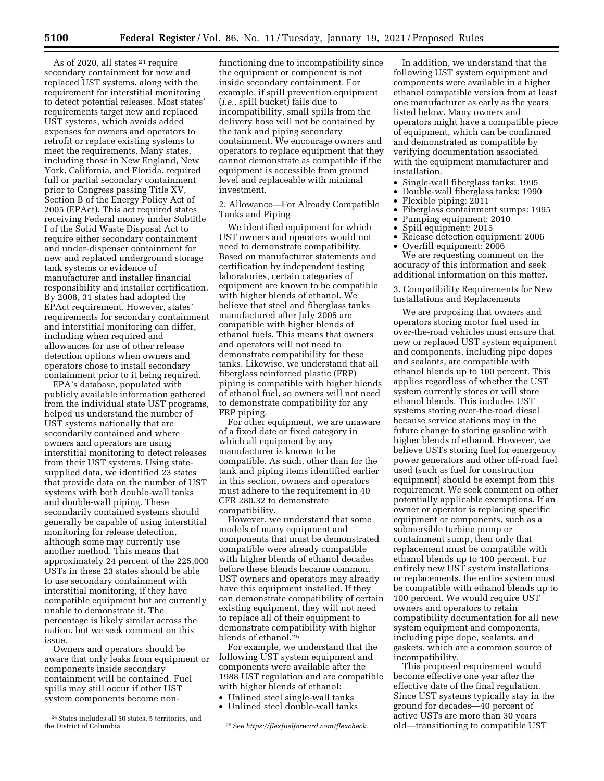As of 2020, all states 24 require secondary containment for new and replaced UST systems, along with the requirement for interstitial monitoring to detect potential releases. Most states' requirements target new and replaced UST systems, which avoids added expenses for owners and operators to retrofit or replace existing systems to meet the requirements. Many states, including those in New England, New York, California, and Florida, required full or partial secondary containment prior to Congress passing Title XV, Section B of the Energy Policy Act of 2005 (EPAct). This act required states receiving Federal money under Subtitle I of the Solid Waste Disposal Act to require either secondary containment and under-dispenser containment for new and replaced underground storage tank systems or evidence of manufacturer and installer financial responsibility and installer certification. By 2008, 31 states had adopted the EPAct requirement. However, states' requirements for secondary containment and interstitial monitoring can differ, including when required and allowances for use of other release detection options when owners and operators chose to install secondary containment prior to it being required.

EPA's database, populated with publicly available information gathered from the individual state UST programs, helped us understand the number of UST systems nationally that are secondarily contained and where owners and operators are using interstitial monitoring to detect releases from their UST systems. Using statesupplied data, we identified 23 states that provide data on the number of UST systems with both double-wall tanks and double-wall piping. These secondarily contained systems should generally be capable of using interstitial monitoring for release detection, although some may currently use another method. This means that approximately 24 percent of the 225,000 USTs in these 23 states should be able to use secondary containment with interstitial monitoring, if they have compatible equipment but are currently unable to demonstrate it. The percentage is likely similar across the nation, but we seek comment on this issue.

Owners and operators should be aware that only leaks from equipment or components inside secondary containment will be contained. Fuel spills may still occur if other UST system components become nonfunctioning due to incompatibility since the equipment or component is not inside secondary containment. For example, if spill prevention equipment (*i.e.,* spill bucket) fails due to incompatibility, small spills from the delivery hose will not be contained by the tank and piping secondary containment. We encourage owners and operators to replace equipment that they cannot demonstrate as compatible if the equipment is accessible from ground level and replaceable with minimal investment.

2. Allowance—For Already Compatible Tanks and Piping

We identified equipment for which UST owners and operators would not need to demonstrate compatibility. Based on manufacturer statements and certification by independent testing laboratories, certain categories of equipment are known to be compatible with higher blends of ethanol. We believe that steel and fiberglass tanks manufactured after July 2005 are compatible with higher blends of ethanol fuels. This means that owners and operators will not need to demonstrate compatibility for these tanks. Likewise, we understand that all fiberglass reinforced plastic (FRP) piping is compatible with higher blends of ethanol fuel, so owners will not need to demonstrate compatibility for any FRP piping.

For other equipment, we are unaware of a fixed date or fixed category in which all equipment by any manufacturer is known to be compatible. As such, other than for the tank and piping items identified earlier in this section, owners and operators must adhere to the requirement in 40 CFR 280.32 to demonstrate compatibility.

However, we understand that some models of many equipment and components that must be demonstrated compatible were already compatible with higher blends of ethanol decades before these blends became common. UST owners and operators may already have this equipment installed. If they can demonstrate compatibility of certain existing equipment, they will not need to replace all of their equipment to demonstrate compatibility with higher blends of ethanol.25

For example, we understand that the following UST system equipment and components were available after the 1988 UST regulation and are compatible with higher blends of ethanol:

- Unlined steel single-wall tanks
- Unlined steel double-wall tanks

In addition, we understand that the following UST system equipment and components were available in a higher ethanol compatible version from at least one manufacturer as early as the years listed below. Many owners and operators might have a compatible piece of equipment, which can be confirmed and demonstrated as compatible by verifying documentation associated with the equipment manufacturer and installation.

- Single-wall fiberglass tanks: 1995
- Double-wall fiberglass tanks: 1990
- Flexible piping: 2011
- Fiberglass containment sumps: 1995
- Pumping equipment: 2010
- Spill equipment: 2015
- Release detection equipment: 2006

• Overfill equipment: 2006 We are requesting comment on the accuracy of this information and seek additional information on this matter.

3. Compatibility Requirements for New Installations and Replacements

We are proposing that owners and operators storing motor fuel used in over-the-road vehicles must ensure that new or replaced UST system equipment and components, including pipe dopes and sealants, are compatible with ethanol blends up to 100 percent. This applies regardless of whether the UST system currently stores or will store ethanol blends. This includes UST systems storing over-the-road diesel because service stations may in the future change to storing gasoline with higher blends of ethanol. However, we believe USTs storing fuel for emergency power generators and other off-road fuel used (such as fuel for construction equipment) should be exempt from this requirement. We seek comment on other potentially applicable exemptions. If an owner or operator is replacing specific equipment or components, such as a submersible turbine pump or containment sump, then only that replacement must be compatible with ethanol blends up to 100 percent. For entirely new UST system installations or replacements, the entire system must be compatible with ethanol blends up to 100 percent. We would require UST owners and operators to retain compatibility documentation for all new system equipment and components, including pipe dope, sealants, and gaskets, which are a common source of incompatibility.

This proposed requirement would become effective one year after the effective date of the final regulation. Since UST systems typically stay in the ground for decades—40 percent of active USTs are more than 30 years old—transitioning to compatible UST

 $^{24}$  States includes all 50 states, 5 territories, and the District of Columbia.

<sup>&</sup>lt;sup>25</sup> See *<https://flexfuelforward.com/flexcheck>*.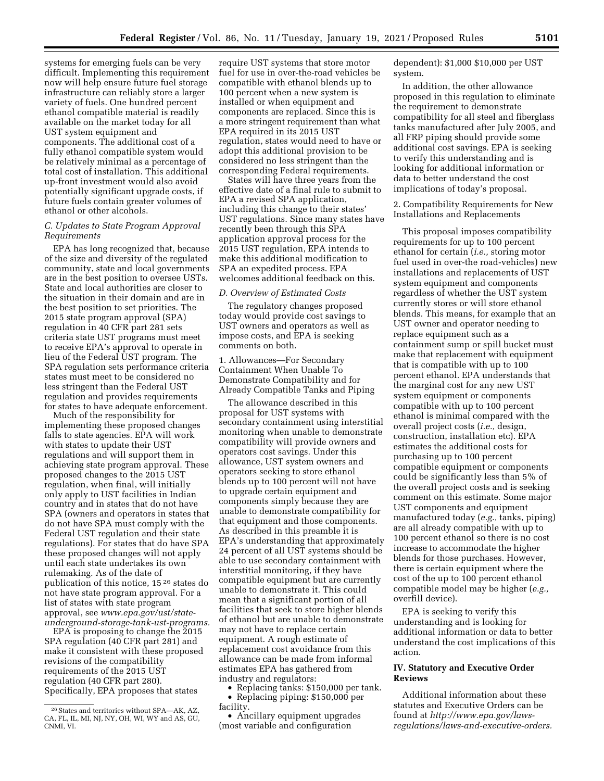systems for emerging fuels can be very difficult. Implementing this requirement now will help ensure future fuel storage infrastructure can reliably store a larger variety of fuels. One hundred percent ethanol compatible material is readily available on the market today for all UST system equipment and components. The additional cost of a fully ethanol compatible system would be relatively minimal as a percentage of total cost of installation. This additional up-front investment would also avoid potentially significant upgrade costs, if future fuels contain greater volumes of ethanol or other alcohols.

# *C. Updates to State Program Approval Requirements*

EPA has long recognized that, because of the size and diversity of the regulated community, state and local governments are in the best position to oversee USTs. State and local authorities are closer to the situation in their domain and are in the best position to set priorities. The 2015 state program approval (SPA) regulation in 40 CFR part 281 sets criteria state UST programs must meet to receive EPA's approval to operate in lieu of the Federal UST program. The SPA regulation sets performance criteria states must meet to be considered no less stringent than the Federal UST regulation and provides requirements for states to have adequate enforcement.

Much of the responsibility for implementing these proposed changes falls to state agencies. EPA will work with states to update their UST regulations and will support them in achieving state program approval. These proposed changes to the 2015 UST regulation, when final, will initially only apply to UST facilities in Indian country and in states that do not have SPA (owners and operators in states that do not have SPA must comply with the Federal UST regulation and their state regulations). For states that do have SPA these proposed changes will not apply until each state undertakes its own rulemaking. As of the date of publication of this notice, 15 26 states do not have state program approval. For a list of states with state program approval, see *[www.epa.gov/ust/state](http://www.epa.gov/ust/state-underground-storage-tank-ust-programs)[underground-storage-tank-ust-programs.](http://www.epa.gov/ust/state-underground-storage-tank-ust-programs)* 

EPA is proposing to change the 2015 SPA regulation (40 CFR part 281) and make it consistent with these proposed revisions of the compatibility requirements of the 2015 UST regulation (40 CFR part 280). Specifically, EPA proposes that states

require UST systems that store motor fuel for use in over-the-road vehicles be compatible with ethanol blends up to 100 percent when a new system is installed or when equipment and components are replaced. Since this is a more stringent requirement than what EPA required in its 2015 UST regulation, states would need to have or adopt this additional provision to be considered no less stringent than the corresponding Federal requirements.

States will have three years from the effective date of a final rule to submit to EPA a revised SPA application, including this change to their states' UST regulations. Since many states have recently been through this SPA application approval process for the 2015 UST regulation, EPA intends to make this additional modification to SPA an expedited process. EPA welcomes additional feedback on this.

#### *D. Overview of Estimated Costs*

The regulatory changes proposed today would provide cost savings to UST owners and operators as well as impose costs, and EPA is seeking comments on both.

1. Allowances—For Secondary Containment When Unable To Demonstrate Compatibility and for Already Compatible Tanks and Piping

The allowance described in this proposal for UST systems with secondary containment using interstitial monitoring when unable to demonstrate compatibility will provide owners and operators cost savings. Under this allowance, UST system owners and operators seeking to store ethanol blends up to 100 percent will not have to upgrade certain equipment and components simply because they are unable to demonstrate compatibility for that equipment and those components. As described in this preamble it is EPA's understanding that approximately 24 percent of all UST systems should be able to use secondary containment with interstitial monitoring, if they have compatible equipment but are currently unable to demonstrate it. This could mean that a significant portion of all facilities that seek to store higher blends of ethanol but are unable to demonstrate may not have to replace certain equipment. A rough estimate of replacement cost avoidance from this allowance can be made from informal estimates EPA has gathered from industry and regulators:

• Replacing tanks: \$150,000 per tank.

• Replacing piping: \$150,000 per facility.

• Ancillary equipment upgrades (most variable and configuration

dependent): \$1,000 \$10,000 per UST system.

In addition, the other allowance proposed in this regulation to eliminate the requirement to demonstrate compatibility for all steel and fiberglass tanks manufactured after July 2005, and all FRP piping should provide some additional cost savings. EPA is seeking to verify this understanding and is looking for additional information or data to better understand the cost implications of today's proposal.

2. Compatibility Requirements for New Installations and Replacements

This proposal imposes compatibility requirements for up to 100 percent ethanol for certain (*i.e.,* storing motor fuel used in over-the road-vehicles) new installations and replacements of UST system equipment and components regardless of whether the UST system currently stores or will store ethanol blends. This means, for example that an UST owner and operator needing to replace equipment such as a containment sump or spill bucket must make that replacement with equipment that is compatible with up to 100 percent ethanol. EPA understands that the marginal cost for any new UST system equipment or components compatible with up to 100 percent ethanol is minimal compared with the overall project costs (*i.e.,* design, construction, installation etc). EPA estimates the additional costs for purchasing up to 100 percent compatible equipment or components could be significantly less than 5% of the overall project costs and is seeking comment on this estimate. Some major UST components and equipment manufactured today (*e.g.,* tanks, piping) are all already compatible with up to 100 percent ethanol so there is no cost increase to accommodate the higher blends for those purchases. However, there is certain equipment where the cost of the up to 100 percent ethanol compatible model may be higher (*e.g.,*  overfill device).

EPA is seeking to verify this understanding and is looking for additional information or data to better understand the cost implications of this action.

### **IV. Statutory and Executive Order Reviews**

Additional information about these statutes and Executive Orders can be found at *[http://www.epa.gov/laws](http://www.epa.gov/laws-regulations/laws-and-executive-orders)[regulations/laws-and-executive-orders.](http://www.epa.gov/laws-regulations/laws-and-executive-orders)* 

<sup>&</sup>lt;sup>26</sup> States and territories without SPA-AK, AZ, CA, FL, IL, MI, NJ, NY, OH, WI, WY and AS, GU, CNMI, VI.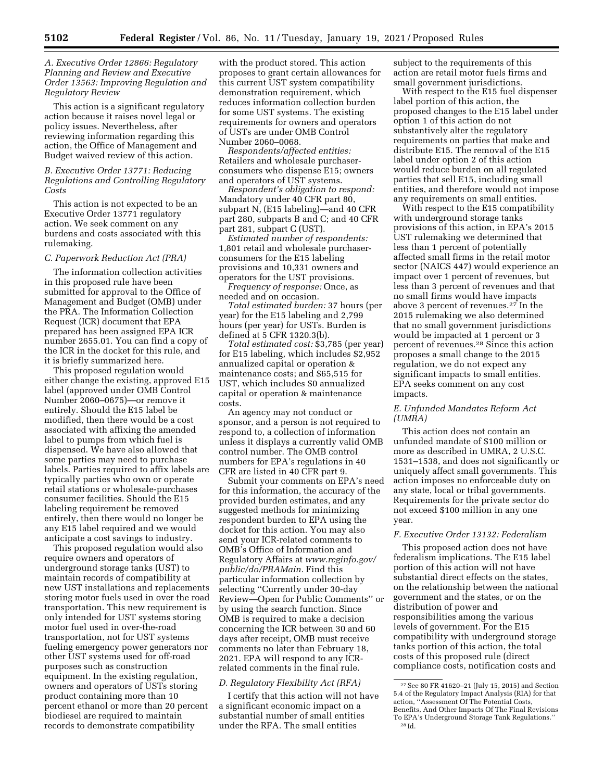# *A. Executive Order 12866: Regulatory Planning and Review and Executive Order 13563: Improving Regulation and Regulatory Review*

This action is a significant regulatory action because it raises novel legal or policy issues. Nevertheless, after reviewing information regarding this action, the Office of Management and Budget waived review of this action.

## *B. Executive Order 13771: Reducing Regulations and Controlling Regulatory Costs*

This action is not expected to be an Executive Order 13771 regulatory action. We seek comment on any burdens and costs associated with this rulemaking.

#### *C. Paperwork Reduction Act (PRA)*

The information collection activities in this proposed rule have been submitted for approval to the Office of Management and Budget (OMB) under the PRA. The Information Collection Request (ICR) document that EPA prepared has been assigned EPA ICR number 2655.01. You can find a copy of the ICR in the docket for this rule, and it is briefly summarized here.

This proposed regulation would either change the existing, approved E15 label (approved under OMB Control Number 2060–0675)—or remove it entirely. Should the E15 label be modified, then there would be a cost associated with affixing the amended label to pumps from which fuel is dispensed. We have also allowed that some parties may need to purchase labels. Parties required to affix labels are typically parties who own or operate retail stations or wholesale-purchases consumer facilities. Should the E15 labeling requirement be removed entirely, then there would no longer be any E15 label required and we would anticipate a cost savings to industry.

This proposed regulation would also require owners and operators of underground storage tanks (UST) to maintain records of compatibility at new UST installations and replacements storing motor fuels used in over the road transportation. This new requirement is only intended for UST systems storing motor fuel used in over-the-road transportation, not for UST systems fueling emergency power generators nor other UST systems used for off-road purposes such as construction equipment. In the existing regulation, owners and operators of USTs storing product containing more than 10 percent ethanol or more than 20 percent biodiesel are required to maintain records to demonstrate compatibility

with the product stored. This action proposes to grant certain allowances for this current UST system compatibility demonstration requirement, which reduces information collection burden for some UST systems. The existing requirements for owners and operators of USTs are under OMB Control Number 2060–0068.

*Respondents/affected entities:*  Retailers and wholesale purchaserconsumers who dispense E15; owners and operators of UST systems.

*Respondent's obligation to respond:*  Mandatory under 40 CFR part 80, subpart N, (E15 labeling)—and 40 CFR part 280, subparts B and C; and 40 CFR part 281, subpart C (UST).

*Estimated number of respondents:*  1,801 retail and wholesale purchaserconsumers for the E15 labeling provisions and 10,331 owners and operators for the UST provisions.

*Frequency of response:* Once, as needed and on occasion.

*Total estimated burden:* 37 hours (per year) for the E15 labeling and 2,799 hours (per year) for USTs. Burden is defined at 5 CFR 1320.3(b).

*Total estimated cost:* \$3,785 (per year) for E15 labeling, which includes \$2,952 annualized capital or operation & maintenance costs; and \$65,515 for UST, which includes \$0 annualized capital or operation & maintenance costs.

An agency may not conduct or sponsor, and a person is not required to respond to, a collection of information unless it displays a currently valid OMB control number. The OMB control numbers for EPA's regulations in 40 CFR are listed in 40 CFR part 9.

Submit your comments on EPA's need for this information, the accuracy of the provided burden estimates, and any suggested methods for minimizing respondent burden to EPA using the docket for this action. You may also send your ICR-related comments to OMB's Office of Information and Regulatory Affairs at *[www.reginfo.gov/](http://www.reginfo.gov/public/do/PRAMain) [public/do/PRAMain.](http://www.reginfo.gov/public/do/PRAMain)* Find this particular information collection by selecting ''Currently under 30-day Review—Open for Public Comments'' or by using the search function. Since OMB is required to make a decision concerning the ICR between 30 and 60 days after receipt, OMB must receive comments no later than February 18, 2021. EPA will respond to any ICRrelated comments in the final rule.

### *D. Regulatory Flexibility Act (RFA)*

I certify that this action will not have a significant economic impact on a substantial number of small entities under the RFA. The small entities

subject to the requirements of this action are retail motor fuels firms and small government jurisdictions.

With respect to the E15 fuel dispenser label portion of this action, the proposed changes to the E15 label under option 1 of this action do not substantively alter the regulatory requirements on parties that make and distribute E15. The removal of the E15 label under option 2 of this action would reduce burden on all regulated parties that sell E15, including small entities, and therefore would not impose any requirements on small entities.

With respect to the E15 compatibility with underground storage tanks provisions of this action, in EPA's 2015 UST rulemaking we determined that less than 1 percent of potentially affected small firms in the retail motor sector (NAICS 447) would experience an impact over 1 percent of revenues, but less than 3 percent of revenues and that no small firms would have impacts above 3 percent of revenues.27 In the 2015 rulemaking we also determined that no small government jurisdictions would be impacted at 1 percent or 3 percent of revenues.28 Since this action proposes a small change to the 2015 regulation, we do not expect any significant impacts to small entities. EPA seeks comment on any cost impacts.

### *E. Unfunded Mandates Reform Act (UMRA)*

This action does not contain an unfunded mandate of \$100 million or more as described in UMRA, 2 U.S.C. 1531–1538, and does not significantly or uniquely affect small governments. This action imposes no enforceable duty on any state, local or tribal governments. Requirements for the private sector do not exceed \$100 million in any one year.

# *F. Executive Order 13132: Federalism*

This proposed action does not have federalism implications. The E15 label portion of this action will not have substantial direct effects on the states, on the relationship between the national government and the states, or on the distribution of power and responsibilities among the various levels of government. For the E15 compatibility with underground storage tanks portion of this action, the total costs of this proposed rule (direct compliance costs, notification costs and

 $^{\rm 27}$  See 80 FR 41620–21 (July 15, 2015) and Section 5.4 of the Regulatory Impact Analysis (RIA) for that action, ''Assessment Of The Potential Costs, Benefits, And Other Impacts Of The Final Revisions To EPA's Underground Storage Tank Regulations. 28 Id.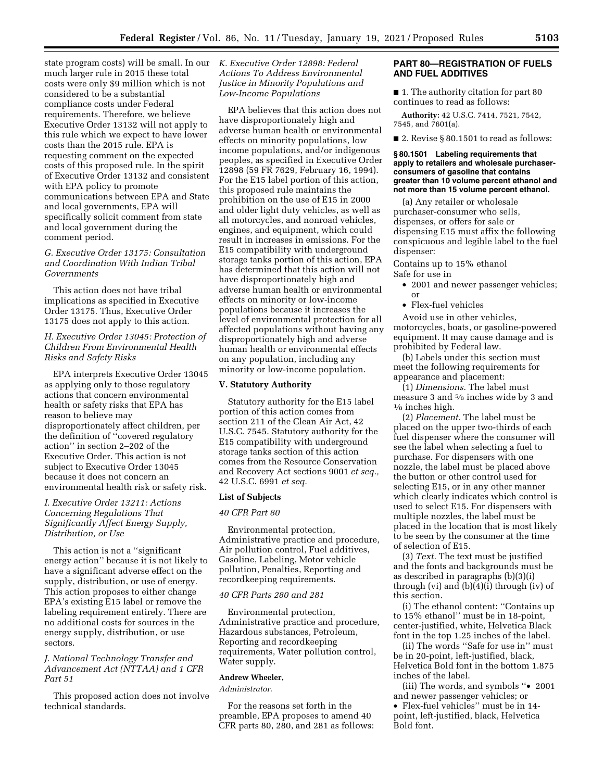state program costs) will be small. In our much larger rule in 2015 these total costs were only \$9 million which is not considered to be a substantial compliance costs under Federal requirements. Therefore, we believe Executive Order 13132 will not apply to this rule which we expect to have lower costs than the 2015 rule. EPA is requesting comment on the expected costs of this proposed rule. In the spirit of Executive Order 13132 and consistent with EPA policy to promote communications between EPA and State and local governments, EPA will specifically solicit comment from state and local government during the comment period.

# *G. Executive Order 13175: Consultation and Coordination With Indian Tribal Governments*

This action does not have tribal implications as specified in Executive Order 13175. Thus, Executive Order 13175 does not apply to this action.

# *H. Executive Order 13045: Protection of Children From Environmental Health Risks and Safety Risks*

EPA interprets Executive Order 13045 as applying only to those regulatory actions that concern environmental health or safety risks that EPA has reason to believe may disproportionately affect children, per the definition of ''covered regulatory action'' in section 2–202 of the Executive Order. This action is not subject to Executive Order 13045 because it does not concern an environmental health risk or safety risk.

# *I. Executive Order 13211: Actions Concerning Regulations That Significantly Affect Energy Supply, Distribution, or Use*

This action is not a ''significant energy action'' because it is not likely to have a significant adverse effect on the supply, distribution, or use of energy. This action proposes to either change EPA's existing E15 label or remove the labeling requirement entirely. There are no additional costs for sources in the energy supply, distribution, or use sectors.

# *J. National Technology Transfer and Advancement Act (NTTAA) and 1 CFR Part 51*

This proposed action does not involve technical standards.

# *K. Executive Order 12898: Federal Actions To Address Environmental Justice in Minority Populations and Low-Income Populations*

EPA believes that this action does not have disproportionately high and adverse human health or environmental effects on minority populations, low income populations, and/or indigenous peoples, as specified in Executive Order 12898 (59 FR 7629, February 16, 1994). For the E15 label portion of this action, this proposed rule maintains the prohibition on the use of E15 in 2000 and older light duty vehicles, as well as all motorcycles, and nonroad vehicles, engines, and equipment, which could result in increases in emissions. For the E15 compatibility with underground storage tanks portion of this action, EPA has determined that this action will not have disproportionately high and adverse human health or environmental effects on minority or low-income populations because it increases the level of environmental protection for all affected populations without having any disproportionately high and adverse human health or environmental effects on any population, including any minority or low-income population.

# **V. Statutory Authority**

Statutory authority for the E15 label portion of this action comes from section 211 of the Clean Air Act, 42 U.S.C. 7545. Statutory authority for the E15 compatibility with underground storage tanks section of this action comes from the Resource Conservation and Recovery Act sections 9001 *et seq.,*  42 U.S.C. 6991 *et seq.* 

# **List of Subjects**

### *40 CFR Part 80*

Environmental protection, Administrative practice and procedure, Air pollution control, Fuel additives, Gasoline, Labeling, Motor vehicle pollution, Penalties, Reporting and recordkeeping requirements.

#### *40 CFR Parts 280 and 281*

Environmental protection, Administrative practice and procedure, Hazardous substances, Petroleum, Reporting and recordkeeping requirements, Water pollution control, Water supply.

# **Andrew Wheeler,**

*Administrator.* 

For the reasons set forth in the preamble, EPA proposes to amend 40 CFR parts 80, 280, and 281 as follows:

# **PART 80—REGISTRATION OF FUELS AND FUEL ADDITIVES**

■ 1. The authority citation for part 80 continues to read as follows:

**Authority:** 42 U.S.C. 7414, 7521, 7542, 7545, and 7601(a).

■ 2. Revise § 80.1501 to read as follows:

#### **§ 80.1501 Labeling requirements that apply to retailers and wholesale purchaserconsumers of gasoline that contains greater than 10 volume percent ethanol and not more than 15 volume percent ethanol.**

(a) Any retailer or wholesale purchaser-consumer who sells, dispenses, or offers for sale or dispensing E15 must affix the following conspicuous and legible label to the fuel dispenser:

Contains up to 15% ethanol Safe for use in

- 2001 and newer passenger vehicles; or
- Flex-fuel vehicles

Avoid use in other vehicles, motorcycles, boats, or gasoline-powered equipment. It may cause damage and is prohibited by Federal law.

(b) Labels under this section must meet the following requirements for appearance and placement:

(1) *Dimensions.* The label must measure 3 and 5⁄8 inches wide by 3 and 1⁄8 inches high.

(2) *Placement.* The label must be placed on the upper two-thirds of each fuel dispenser where the consumer will see the label when selecting a fuel to purchase. For dispensers with one nozzle, the label must be placed above the button or other control used for selecting E15, or in any other manner which clearly indicates which control is used to select E15. For dispensers with multiple nozzles, the label must be placed in the location that is most likely to be seen by the consumer at the time of selection of E15.

(3) *Text.* The text must be justified and the fonts and backgrounds must be as described in paragraphs (b)(3)(i) through (vi) and (b)(4)(i) through (iv) of this section.

(i) The ethanol content: ''Contains up to 15% ethanol'' must be in 18-point, center-justified, white, Helvetica Black font in the top 1.25 inches of the label.

(ii) The words ''Safe for use in'' must be in 20-point, left-justified, black, Helvetica Bold font in the bottom 1.875 inches of the label.

(iii) The words, and symbols ''• 2001 and newer passenger vehicles; or

• Flex-fuel vehicles'' must be in 14 point, left-justified, black, Helvetica Bold font.